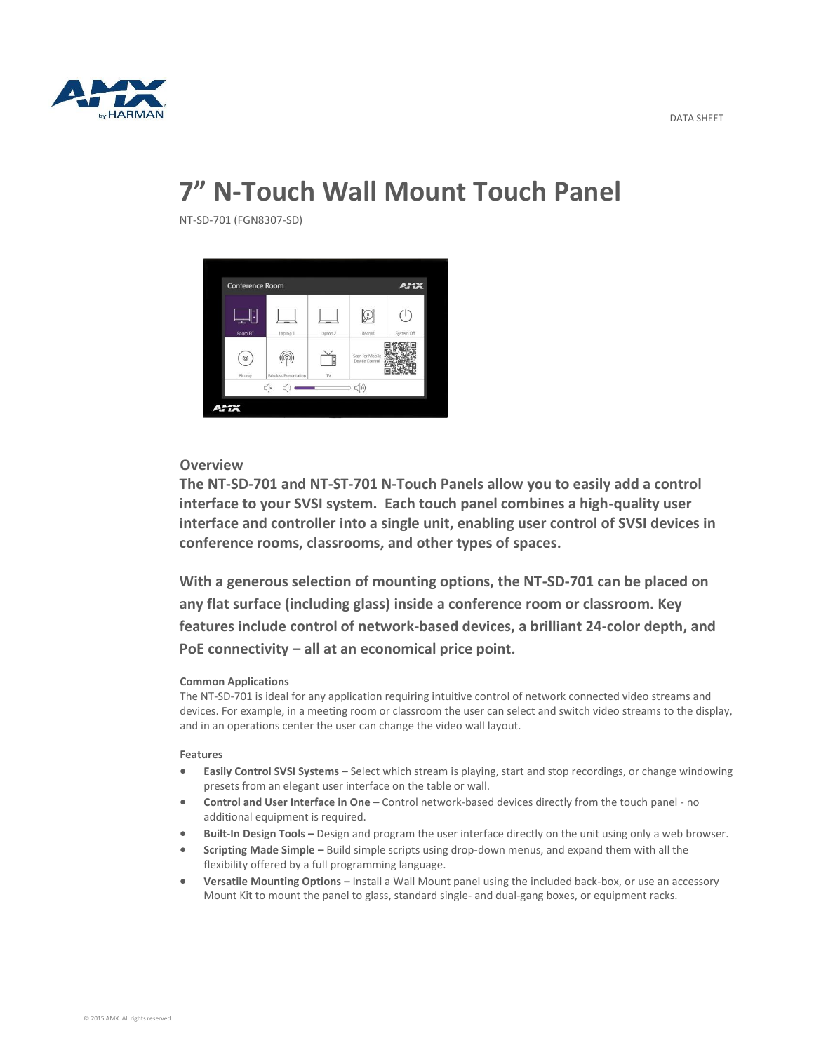

# **7" N-Touch Wall Mount Touch Panel**

NT-SD-701 (FGN8307-SD)



## **Overview**

**The NT-SD-701 and NT-ST-701 N-Touch Panels allow you to easily add a control interface to your SVSI system. Each touch panel combines a high-quality user interface and controller into a single unit, enabling user control of SVSI devices in conference rooms, classrooms, and other types of spaces.** 

**With a generous selection of mounting options, the NT-SD-701 can be placed on any flat surface (including glass) inside a conference room or classroom. Key features include control of network-based devices, a brilliant 24-color depth, and PoE connectivity – all at an economical price point.**

#### **Common Applications**

The NT-SD-701 is ideal for any application requiring intuitive control of network connected video streams and devices. For example, in a meeting room or classroom the user can select and switch video streams to the display, and in an operations center the user can change the video wall layout.

#### **Features**

- **Easily Control SVSI Systems –** Select which stream is playing, start and stop recordings, or change windowing presets from an elegant user interface on the table or wall.
- **Control and User Interface in One –** Control network-based devices directly from the touch panel no additional equipment is required.
- **Built-In Design Tools –** Design and program the user interface directly on the unit using only a web browser.
- **Scripting Made Simple –** Build simple scripts using drop-down menus, and expand them with all the flexibility offered by a full programming language.
- **Versatile Mounting Options –** Install a Wall Mount panel using the included back-box, or use an accessory Mount Kit to mount the panel to glass, standard single- and dual-gang boxes, or equipment racks.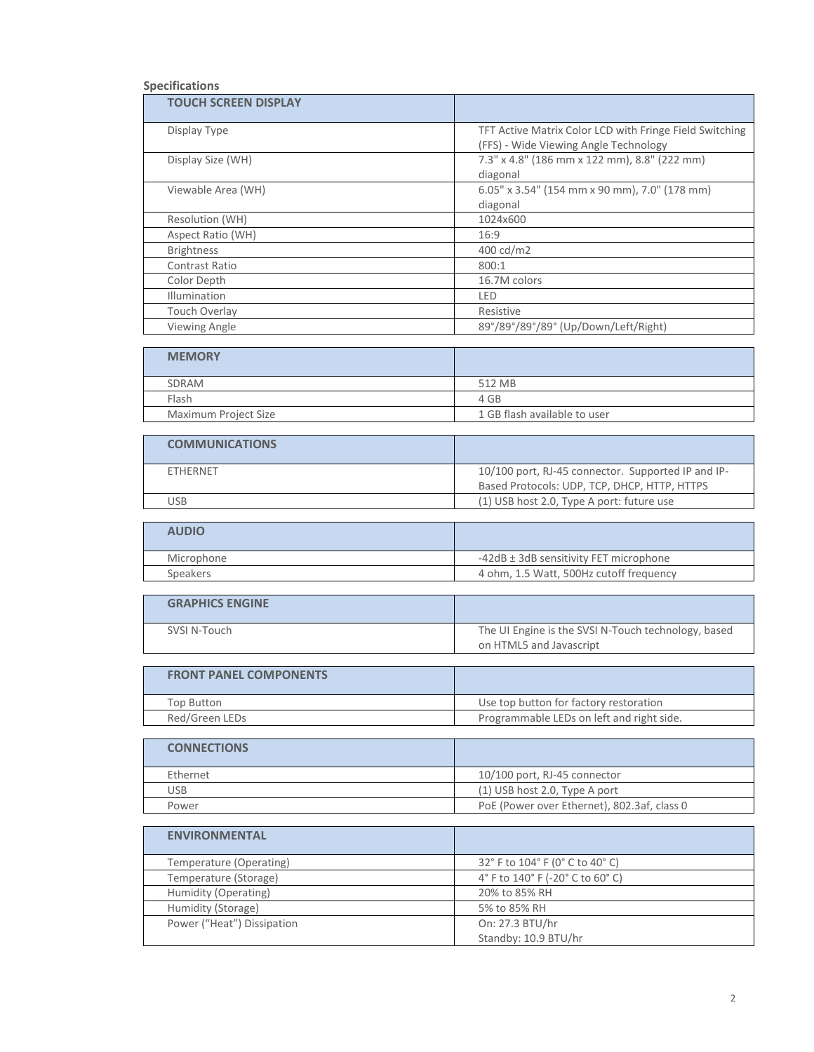### **Specifications**

| <b>TOUCH SCREEN DISPLAY</b> |                                                         |
|-----------------------------|---------------------------------------------------------|
| Display Type                | TFT Active Matrix Color LCD with Fringe Field Switching |
|                             | (FFS) - Wide Viewing Angle Technology                   |
| Display Size (WH)           | 7.3" x 4.8" (186 mm x 122 mm), 8.8" (222 mm)            |
|                             | diagonal                                                |
| Viewable Area (WH)          | 6.05" x 3.54" (154 mm x 90 mm), 7.0" (178 mm)           |
|                             | diagonal                                                |
| Resolution (WH)             | 1024x600                                                |
| Aspect Ratio (WH)           | 16:9                                                    |
| <b>Brightness</b>           | 400 cd/m2                                               |
| Contrast Ratio              | 800:1                                                   |
| Color Depth                 | 16.7M colors                                            |
| <b>Illumination</b>         | LED                                                     |
| Touch Overlay               | Resistive                                               |
| <b>Viewing Angle</b>        | 89°/89°/89°/89° (Up/Down/Left/Right)                    |

| <b>MEMORY</b>        |                              |
|----------------------|------------------------------|
| SDRAM                | 512 MB                       |
| Flash                | 4 GB                         |
| Maximum Project Size | 1 GB flash available to user |

| <b>COMMUNICATIONS</b> |                                                                                                    |
|-----------------------|----------------------------------------------------------------------------------------------------|
| <b>FTHFRNFT</b>       | 10/100 port, RJ-45 connector. Supported IP and IP-<br>Based Protocols: UDP, TCP, DHCP, HTTP, HTTPS |
| JSB                   | (1) USB host 2.0, Type A port: future use                                                          |

| <b>AUDIO</b> |                                         |
|--------------|-----------------------------------------|
| Microphone   | -42dB ± 3dB sensitivity FET microphone  |
| Speakers     | 4 ohm, 1.5 Watt, 500Hz cutoff frequency |

| <b>GRAPHICS ENGINE</b> |                                                     |
|------------------------|-----------------------------------------------------|
| SVSI N-Touch           | The UI Engine is the SVSI N-Touch technology, based |
|                        | on HTML5 and Javascript                             |

| <b>FRONT PANEL COMPONENTS</b> |                                           |
|-------------------------------|-------------------------------------------|
| <b>Top Button</b>             | Use top button for factory restoration    |
| Red/Green LEDs                | Programmable LEDs on left and right side. |

| <b>CONNECTIONS</b> |                                             |
|--------------------|---------------------------------------------|
| Ethernet           | $10/100$ port, RJ-45 connector              |
| USB                | (1) USB host 2.0, Type A port               |
| Power              | PoE (Power over Ethernet), 802.3af, class 0 |

| <b>ENVIRONMENTAL</b>       |                                  |
|----------------------------|----------------------------------|
| Temperature (Operating)    | 32° F to 104° F (0° C to 40° C)  |
| Temperature (Storage)      | 4° F to 140° F (-20° C to 60° C) |
| Humidity (Operating)       | 20% to 85% RH                    |
| Humidity (Storage)         | 5% to 85% RH                     |
| Power ("Heat") Dissipation | On: 27.3 BTU/hr                  |
|                            | Standby: 10.9 BTU/hr             |